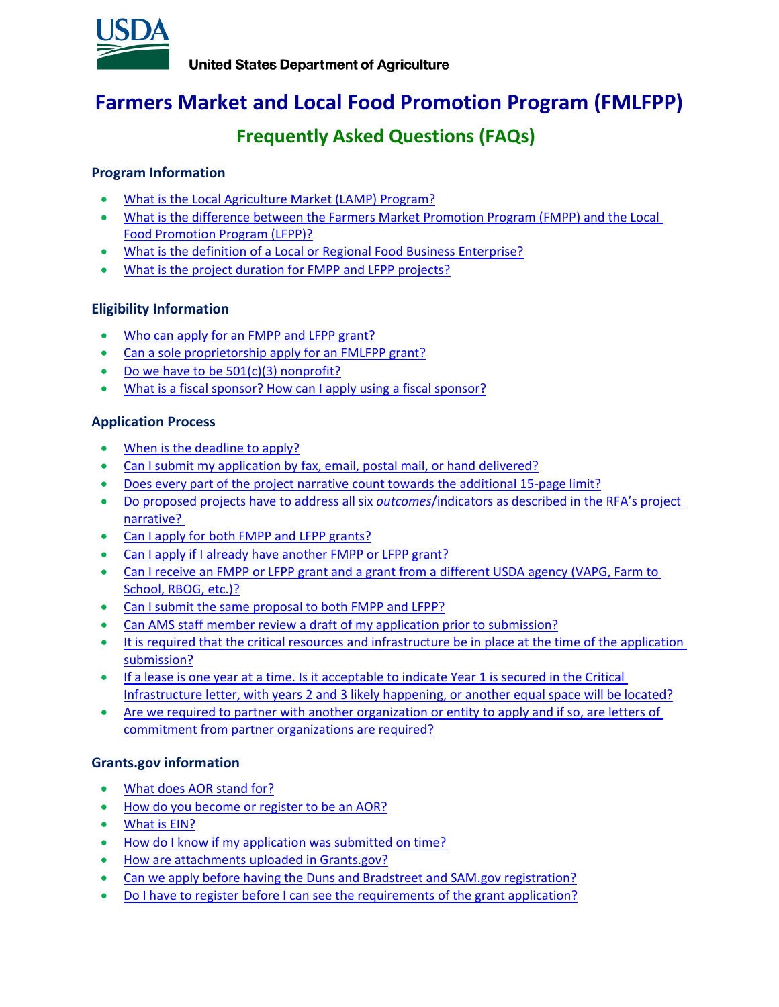

# <span id="page-0-1"></span>**Farmers Market and Local Food Promotion Program (FMLFPP)**

# **Frequently Asked Questions (FAQs)**

## <span id="page-0-0"></span>**Program Information**

- [What is the Local Agriculture Market \(LAMP\) Program?](#page-2-0)
- [What is the difference between the Farmers Market Promotion Program \(FMPP\) and the Local](#page-2-1)  [Food Promotion Program \(LFPP\)?](#page-2-1)
- [What is the definition of a Local or Regional Food Business Enterprise?](#page-2-2)
- [What is the project duration for FMPP and LFPP projects?](#page-2-3)

## **Eligibility Information**

- Who can apply for an [FMPP and LFPP grant?](#page-2-4)
- [Can a sole proprietorship apply for an FMLFPP grant?](#page-2-5)
- [Do we have to be 501\(c\)\(3\) nonprofit?](#page-3-0)
- [What is a fiscal sponsor? How can](#page-3-1) I apply using a fiscal sponsor?

## **Application Process**

- [When is the deadline to apply?](#page-3-2)
- [Can I submit my application by](#page-3-3) fax, email, postal mail, or hand delivered?
- [Does every part of the project narrative](#page-3-4) count towards the additional 15-page limit?
- [Do proposed projects have to address all six](#page-3-5) *outcomes*/indicators as described in the RFA's project [narrative?](#page-3-5)
- [Can I apply for both FMPP and LFPP grants?](#page-3-6)
- [Can I apply if I already have another FMPP or LFPP grant?](#page-4-0)
- Can I receive an FMPP or LFPP grant and a grant from a different USDA agency (VAPG, Farm to [School, RBOG, etc.\)?](#page-4-1)
- [Can I submit the same proposal to both FMPP and LFPP?](#page-4-2)
- [Can AMS staff member review a draft of my application prior to submission?](#page-4-3)
- [It is required that the critical resources and infrastructure be in place at the time of the application](#page-4-4)  [submission?](#page-4-4)
- If a lease is one year at a time. [Is it acceptable to indicate Year 1 is secured in the Critical](#page-4-5)  [Infrastructure letter, with years 2 and 3 likely happening, or another equal space will be located?](#page-4-5)
- Are we required to partner with another organization or entity to apply and if so, are letters of [commitment from partner organizations are required?](#page-4-6)

## **Grants.gov information**

- [What does AOR stand for?](#page-4-7)
- [How do you become or register to be an AOR?](#page-5-0)
- [What is EIN?](#page-5-1)
- How do I know if [my application was submitted on time?](#page-5-2)
- [How are attachments uploaded in Grants.gov?](#page-5-3)
- [Can we apply before having the Duns and Bradstreet and SAM.gov registration?](#page-5-4)
- [Do I have to register before I can see the requirements of the grant application?](#page-5-5)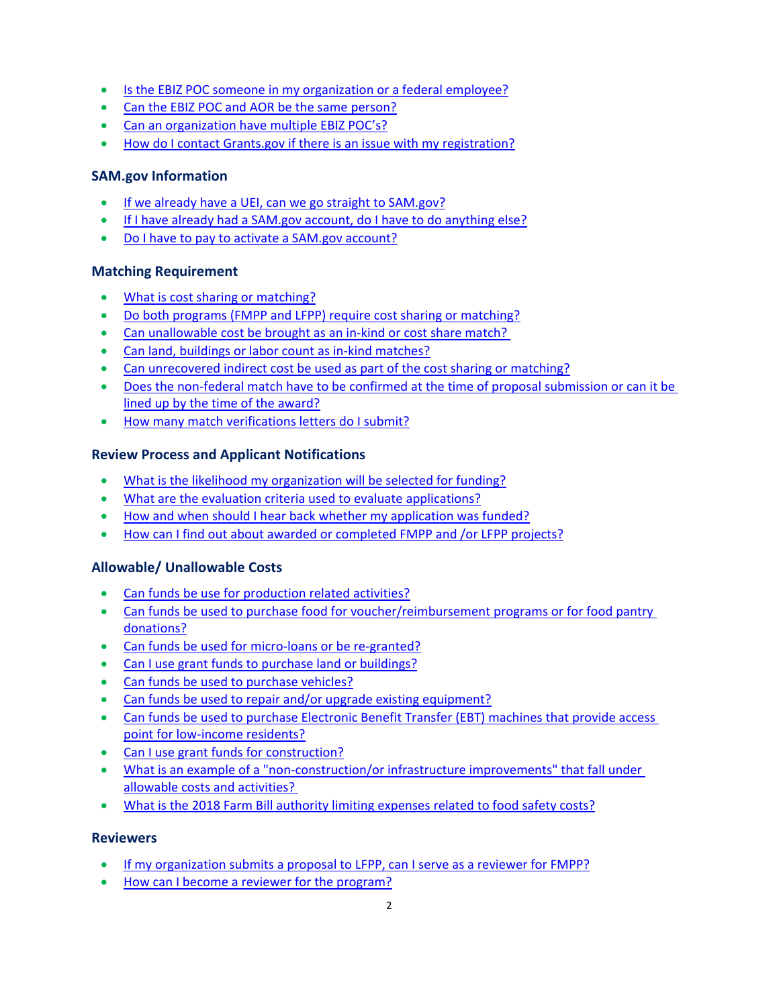- [Is the EBIZ POC someone in my organization or a federal employee?](#page-5-6)
- [Can the EBIZ POC and AOR be the same person?](#page-5-7)
- [Can an organization have multiple EBIZ POC's?](#page-5-8)
- [How do I contact Grants.gov if there is an issue with my registration?](#page-6-0)

## **SAM.gov Information**

- [If we already have a UEI, can we go straight to SAM.gov?](#page-6-1)
- If I have already had [a SAM.gov account, do I have to do anything else?](#page-6-2)
- [Do I have to pay to activate a SAM.gov account?](#page-6-3)

## **Matching Requirement**

- [What is cost sharing or matching?](#page-6-4)
- [Do both programs \(FMPP and LFPP\) require cost sharing or matching?](#page-6-5)
- Can unallowable cost be brought as an in-kind or cost share match?
- [Can land, buildings or labor count as in-kind matches?](#page-6-7)
- [Can unrecovered indirect cost be used as part of the cost sharing or matching?](#page-7-0)
- [Does the non-federal match have to be confirmed at the time of proposal submission or can it be](#page-7-1)  [lined up by the time of](#page-7-1) the award?
- [How many match verifications](#page-7-2) letters do I submit?

## **Review Process and Applicant Notifications**

- [What is the likelihood my organization will be selected for funding?](#page-7-3)
- [What are the evaluation criteria used to evaluate applications?](#page-7-4)
- [How and when should I hear back whether](#page-7-5) my application was funded?
- [How can I find out about awarded or completed FMPP and /or LFPP projects?](#page-7-6)

## **Allowable/ Unallowable Costs**

- [Can funds be use for production related activities?](#page-8-0)
- [Can funds be used to purchase food for voucher/reimbursement programs or for](#page-8-1) food pantry [donations?](#page-8-1)
- [Can funds be used for micro-loans or be re-granted?](#page-8-2)
- [Can I use grant funds to purchase land or buildings?](#page-8-3)
- [Can funds be used to purchase vehicles?](#page-8-4)
- [Can funds be used to repair and/or upgrade existing equipment?](#page-8-5)
- [Can funds be used to purchase Electronic Benefit Transfer \(EBT\)](#page-8-6) machines that provide access [point for low-income residents?](#page-8-6)
- [Can I use grant funds for construction?](#page-9-0)
- [What is an example of a "non-construction/or infrastructure improvements" that fall under](#page-9-1)  [allowable costs and activities?](#page-9-1)
- What is the 2018 [Farm Bill authority limiting expenses related to food safety costs?](#page-9-2)

## **Reviewers**

- [If my organization submits a proposal to LFPP,](#page-9-3) can I serve as a reviewer for FMPP?
- [How can I become a reviewer for the program?](#page-9-4)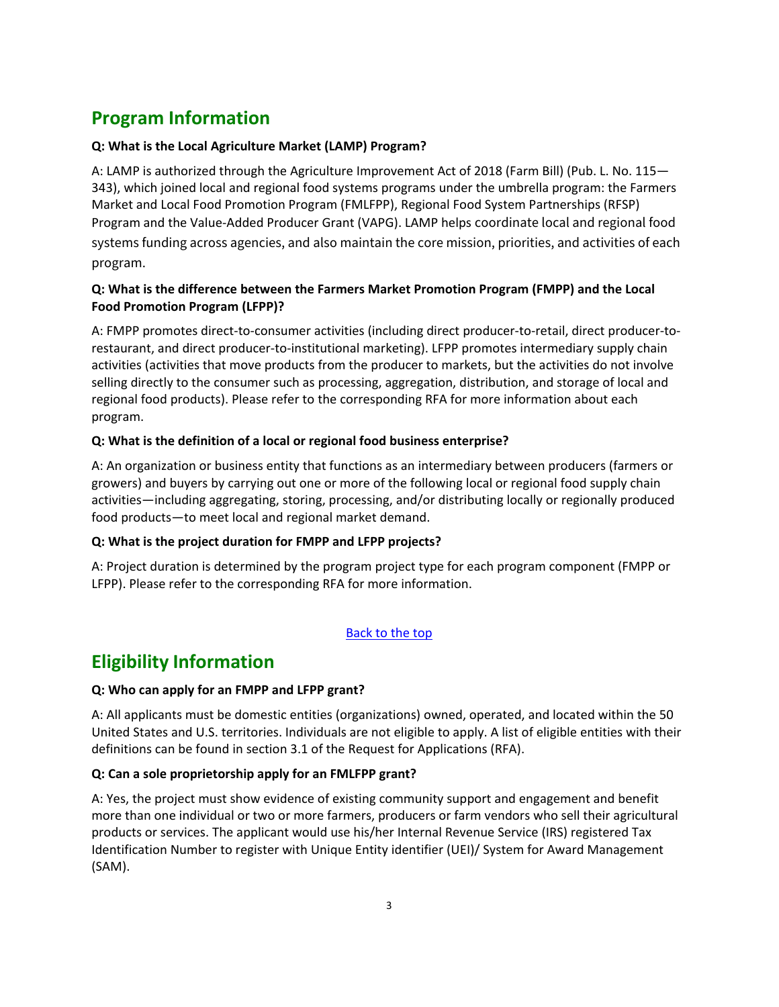# **Program Information**

## <span id="page-2-0"></span>**Q: What is the Local Agriculture Market (LAMP) Program?**

A: LAMP is authorized through the Agriculture Improvement Act of 2018 (Farm Bill) (Pub. L. No. 115— 343), which joined local and regional food systems programs under the umbrella program: the Farmers Market and Local Food Promotion Program (FMLFPP), Regional Food System Partnerships (RFSP) Program and the Value-Added Producer Grant (VAPG). LAMP helps coordinate local and regional food systems funding across agencies, and also maintain the core mission, priorities, and activities of each program.

## <span id="page-2-1"></span>**Q: What is the difference between the Farmers Market Promotion Program (FMPP) and the Local Food Promotion Program (LFPP)?**

A: FMPP promotes direct-to-consumer activities (including direct producer-to-retail, direct producer-torestaurant, and direct producer-to-institutional marketing). LFPP promotes intermediary supply chain activities (activities that move products from the producer to markets, but the activities do not involve selling directly to the consumer such as processing, aggregation, distribution, and storage of local and regional food products). Please refer to the corresponding RFA for more information about each program.

## <span id="page-2-2"></span>**Q: What is the definition of a local or regional food business enterprise?**

A: An organization or business entity that functions as an intermediary between producers (farmers or growers) and buyers by carrying out one or more of the following local or regional food supply chain activities—including aggregating, storing, processing, and/or distributing locally or regionally produced food products—to meet local and regional market demand.

## <span id="page-2-3"></span>**Q: What is the project duration for FMPP and LFPP projects?**

A: Project duration is determined by the program project type for each program component (FMPP or LFPP). Please refer to the corresponding RFA for more information.

## [Back to the top](#page-0-0)

## **Eligibility Information**

## <span id="page-2-4"></span>**Q: Who can apply for an FMPP and LFPP grant?**

A: All applicants must be domestic entities (organizations) owned, operated, and located within the 50 United States and U.S. territories. Individuals are not eligible to apply. A list of eligible entities with their definitions can be found in section 3.1 of the Request for Applications (RFA).

## <span id="page-2-5"></span>**Q: Can a sole proprietorship apply for an FMLFPP grant?**

A: Yes, the project must show evidence of existing community support and engagement and benefit more than one individual or two or more farmers, producers or farm vendors who sell their agricultural products or services. The applicant would use his/her Internal Revenue Service (IRS) registered Tax Identification Number to register with Unique Entity identifier (UEI)/ System for Award Management (SAM).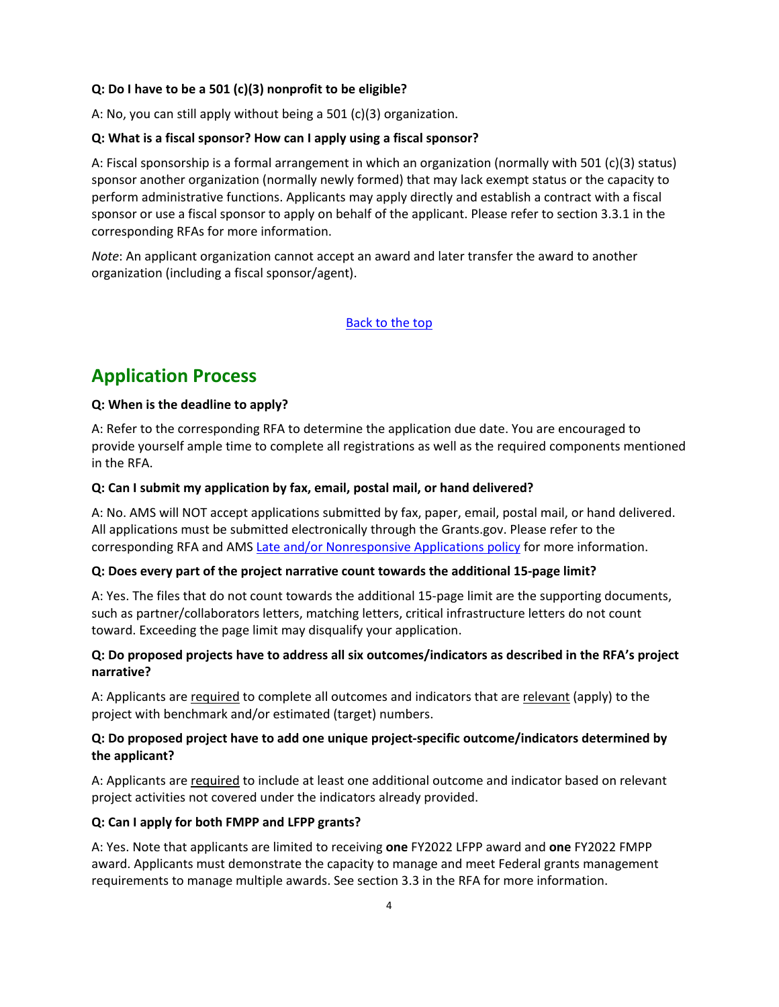### <span id="page-3-0"></span>**Q: Do I have to be a 501 (c)(3) nonprofit to be eligible?**

A: No, you can still apply without being a 501 (c)(3) organization.

#### <span id="page-3-1"></span>**Q: What is a fiscal sponsor? How can I apply using a fiscal sponsor?**

A: Fiscal sponsorship is a formal arrangement in which an organization (normally with 501 (c)(3) status) sponsor another organization (normally newly formed) that may lack exempt status or the capacity to perform administrative functions. Applicants may apply directly and establish a contract with a fiscal sponsor or use a fiscal sponsor to apply on behalf of the applicant. Please refer to section 3.3.1 in the corresponding RFAs for more information.

*Note*: An applicant organization cannot accept an award and later transfer the award to another organization (including a fiscal sponsor/agent).

## [Back to the top](#page-0-0)

## **Application Process**

#### <span id="page-3-2"></span>**Q: When is the deadline to apply?**

A: Refer to the corresponding RFA to determine the application due date. You are encouraged to provide yourself ample time to complete all registrations as well as the required components mentioned in the RFA.

#### <span id="page-3-3"></span>**Q: Can I submit my application by fax, email, postal mail, or hand delivered?**

A: No. AMS will NOT accept applications submitted by fax, paper, email, postal mail, or hand delivered. All applications must be submitted electronically through the Grants.gov. Please refer to the corresponding RFA and AMS [Late and/or Nonresponsive Applications policy](https://www.ams.usda.gov/sites/default/files/media/AMSPolicyonConsiderationofLateNonresponsiveApplications.pdf) for more information.

#### <span id="page-3-4"></span>**Q: Does every part of the project narrative count towards the additional 15-page limit?**

A: Yes. The files that do not count towards the additional 15-page limit are the supporting documents, such as partner/collaborators letters, matching letters, critical infrastructure letters do not count toward. Exceeding the page limit may disqualify your application.

## <span id="page-3-5"></span>**Q: Do proposed projects have to address all six outcomes/indicators as described in the RFA's project narrative?**

A: Applicants are required to complete all outcomes and indicators that are relevant (apply) to the project with benchmark and/or estimated (target) numbers.

## **Q: Do proposed project have to add one unique project-specific outcome/indicators determined by the applicant?**

A: Applicants are required to include at least one additional outcome and indicator based on relevant project activities not covered under the indicators already provided.

## <span id="page-3-6"></span>**Q: Can I apply for both FMPP and LFPP grants?**

A: Yes. Note that applicants are limited to receiving **one** FY2022 LFPP award and **one** FY2022 FMPP award. Applicants must demonstrate the capacity to manage and meet Federal grants management requirements to manage multiple awards. See section 3.3 in the RFA for more information.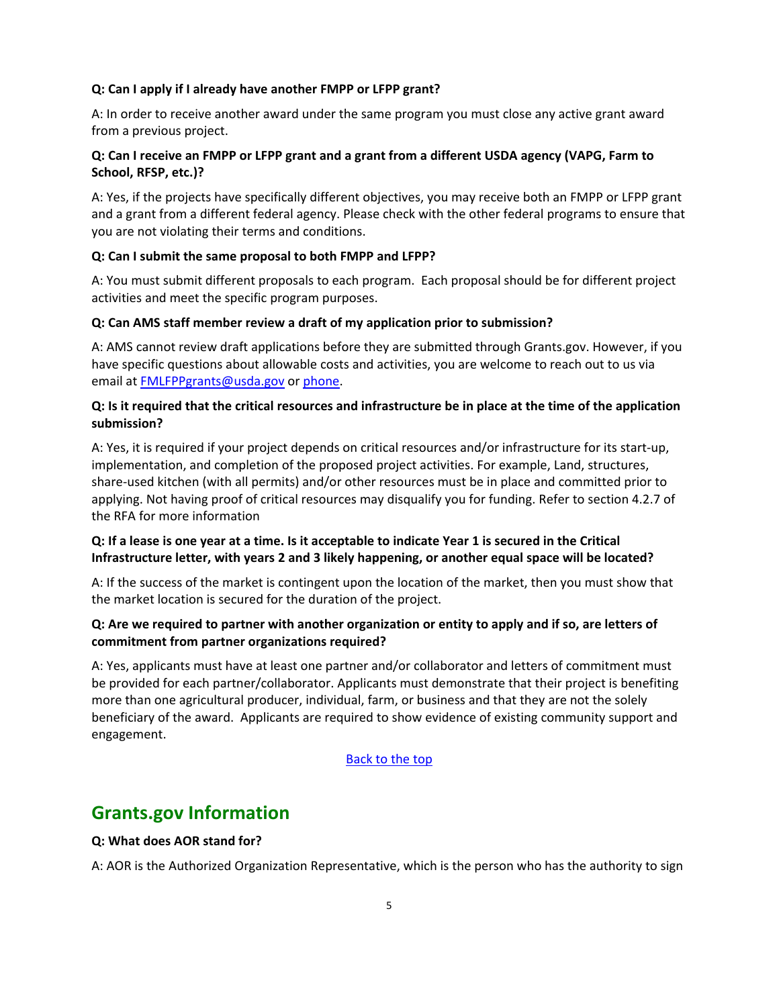#### <span id="page-4-0"></span>**Q: Can I apply if I already have another FMPP or LFPP grant?**

A: In order to receive another award under the same program you must close any active grant award from a previous project.

## <span id="page-4-1"></span>**Q: Can I receive an FMPP or LFPP grant and a grant from a different USDA agency (VAPG, Farm to School, RFSP, etc.)?**

A: Yes, if the projects have specifically different objectives, you may receive both an FMPP or LFPP grant and a grant from a different federal agency. Please check with the other federal programs to ensure that you are not violating their terms and conditions.

#### <span id="page-4-2"></span>**Q: Can I submit the same proposal to both FMPP and LFPP?**

A: You must submit different proposals to each program. Each proposal should be for different project activities and meet the specific program purposes.

#### <span id="page-4-3"></span>**Q: Can AMS staff member review a draft of my application prior to submission?**

A: AMS cannot review draft applications before they are submitted through Grants.gov. However, if you have specific questions about allowable costs and activities, you are welcome to reach out to us via email at [FMLFPPgrants@usda.gov](mailto:FMLFPPgrants@usda.gov) or [phone.](https://www.ams.usda.gov/services/grants/fmpp/contacts)

## <span id="page-4-4"></span>**Q: Is it required that the critical resources and infrastructure be in place at the time of the application submission?**

A: Yes, it is required if your project depends on critical resources and/or infrastructure for its start-up, implementation, and completion of the proposed project activities. For example, Land, structures, share-used kitchen (with all permits) and/or other resources must be in place and committed prior to applying. Not having proof of critical resources may disqualify you for funding. Refer to section 4.2.7 of the RFA for more information

## <span id="page-4-5"></span>**Q: If a lease is one year at a time. Is it acceptable to indicate Year 1 is secured in the Critical Infrastructure letter, with years 2 and 3 likely happening, or another equal space will be located?**

A: If the success of the market is contingent upon the location of the market, then you must show that the market location is secured for the duration of the project.

## <span id="page-4-6"></span>**Q: Are we required to partner with another organization or entity to apply and if so, are letters of commitment from partner organizations required?**

A: Yes, applicants must have at least one partner and/or collaborator and letters of commitment must be provided for each partner/collaborator. Applicants must demonstrate that their project is benefiting more than one agricultural producer, individual, farm, or business and that they are not the solely beneficiary of the award. Applicants are required to show evidence of existing community support and engagement.

#### [Back to the top](#page-0-0)

## **Grants.gov Information**

#### <span id="page-4-7"></span>**Q: What does AOR stand for?**

A: AOR is the Authorized Organization Representative, which is the person who has the authority to sign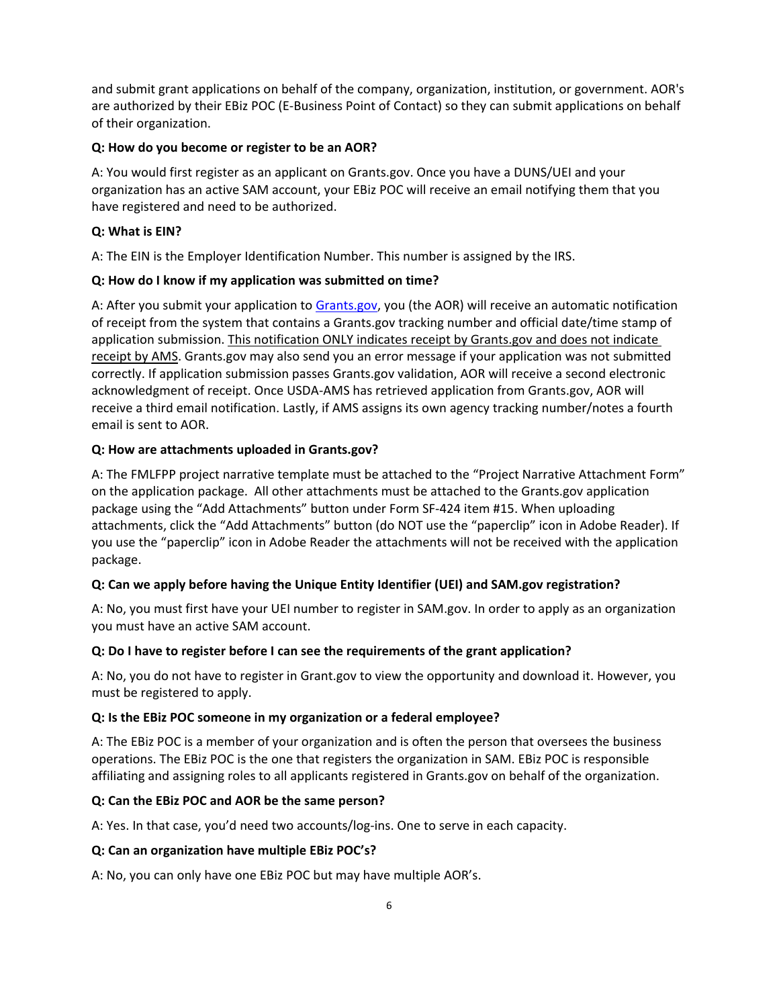and submit grant applications on behalf of the company, organization, institution, or government. AOR's are authorized by their EBiz POC (E-Business Point of Contact) so they can submit applications on behalf of their organization.

#### <span id="page-5-0"></span>**Q: How do you become or register to be an AOR?**

A: You would first register as an applicant on Grants.gov. Once you have a DUNS/UEI and your organization has an active SAM account, your EBiz POC will receive an email notifying them that you have registered and need to be authorized.

### <span id="page-5-1"></span>**Q: What is EIN?**

A: The EIN is the Employer Identification Number. This number is assigned by the IRS.

## <span id="page-5-2"></span>**Q: How do I know if my application was submitted on time?**

A: After you submit your application to [Grants.gov,](http://www.grants.gov/) you (the AOR) will receive an automatic notification of receipt from the system that contains a Grants.gov tracking number and official date/time stamp of application submission. This notification ONLY indicates receipt by Grants.gov and does not indicate receipt by AMS. Grants.gov may also send you an error message if your application was not submitted correctly. If application submission passes Grants.gov validation, AOR will receive a second electronic acknowledgment of receipt. Once USDA-AMS has retrieved application from Grants.gov, AOR will receive a third email notification. Lastly, if AMS assigns its own agency tracking number/notes a fourth email is sent to AOR.

#### <span id="page-5-3"></span>**Q: How are attachments uploaded in Grants.gov?**

A: The FMLFPP project narrative template must be attached to the "Project Narrative Attachment Form" on the application package. All other attachments must be attached to the Grants.gov application package using the "Add Attachments" button under Form SF-424 item #15. When uploading attachments, click the "Add Attachments" button (do NOT use the "paperclip" icon in Adobe Reader). If you use the "paperclip" icon in Adobe Reader the attachments will not be received with the application package.

## <span id="page-5-4"></span>**Q: Can we apply before having the Unique Entity Identifier (UEI) and SAM.gov registration?**

A: No, you must first have your UEI number to register in SAM.gov. In order to apply as an organization you must have an active SAM account.

#### <span id="page-5-5"></span>**Q: Do I have to register before I can see the requirements of the grant application?**

A: No, you do not have to register in Grant.gov to view the opportunity and download it. However, you must be registered to apply.

#### <span id="page-5-6"></span>**Q: Is the EBiz POC someone in my organization or a federal employee?**

A: The EBiz POC is a member of your organization and is often the person that oversees the business operations. The EBiz POC is the one that registers the organization in SAM. EBiz POC is responsible affiliating and assigning roles to all applicants registered in Grants.gov on behalf of the organization.

#### <span id="page-5-7"></span>**Q: Can the EBiz POC and AOR be the same person?**

<span id="page-5-8"></span>A: Yes. In that case, you'd need two accounts/log-ins. One to serve in each capacity.

#### **Q: Can an organization have multiple EBiz POC's?**

A: No, you can only have one EBiz POC but may have multiple AOR's.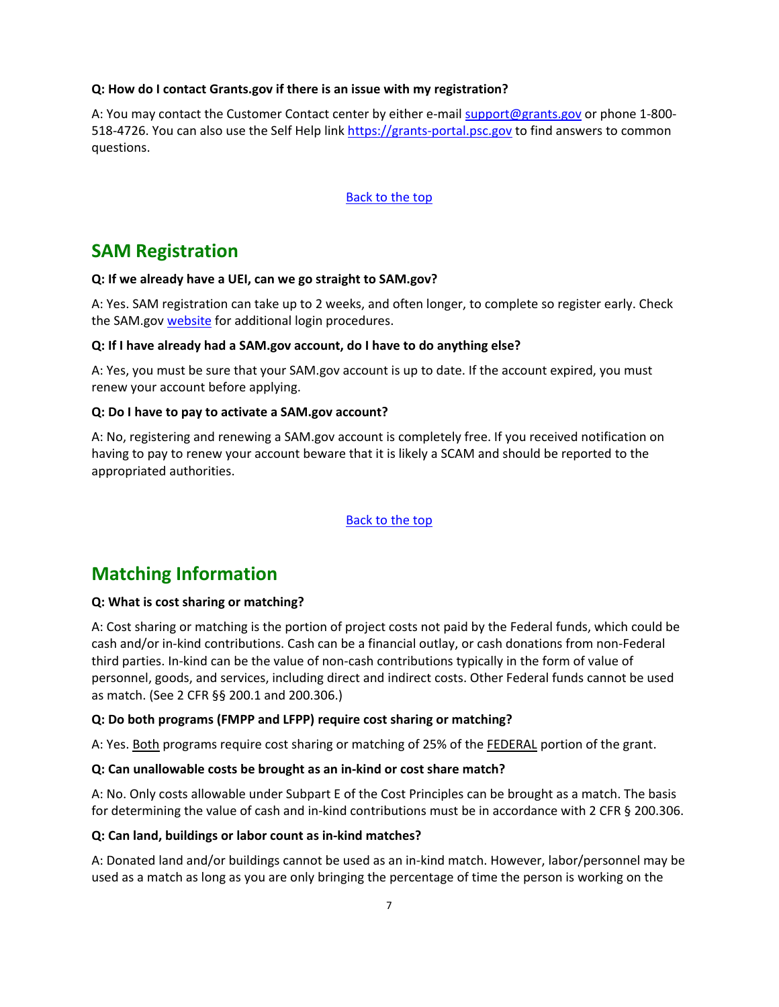#### <span id="page-6-0"></span>**Q: How do I contact Grants.gov if there is an issue with my registration?**

A: You may contact the Customer Contact center by either e-mai[l support@grants.gov](mailto:support@grants.gov) or phone 1-800 518-4726. You can also use the Self Help link [https://grants-portal.psc.gov](https://grants-portal.psc.gov/) to find answers to common questions.

#### [Back to the top](#page-0-0)

## **SAM Registration**

#### <span id="page-6-1"></span>**Q: If we already have a UEI, can we go straight to SAM.gov?**

A: Yes. SAM registration can take up to 2 weeks, and often longer, to complete so register early. Check the SAM.gov [website](https://www.gsa.gov/about-us/organization/federal-acquisition-service/office-of-systems-management/integrated-award-environment-iae/sam-update-updated-july-11-2018) for additional login procedures.

#### <span id="page-6-2"></span>**Q: If I have already had a SAM.gov account, do I have to do anything else?**

A: Yes, you must be sure that your SAM.gov account is up to date. If the account expired, you must renew your account before applying.

#### <span id="page-6-3"></span>**Q: Do I have to pay to activate a SAM.gov account?**

A: No, registering and renewing a SAM.gov account is completely free. If you received notification on having to pay to renew your account beware that it is likely a SCAM and should be reported to the appropriated authorities.

#### [Back to the top](#page-0-0)

## **Matching Information**

#### <span id="page-6-4"></span>**Q: What is cost sharing or matching?**

A: Cost sharing or matching is the portion of project costs not paid by the Federal funds, which could be cash and/or in-kind contributions. Cash can be a financial outlay, or cash donations from non-Federal third parties. In-kind can be the value of non-cash contributions typically in the form of value of personnel, goods, and services, including direct and indirect costs. Other Federal funds cannot be used as match. (See 2 CFR §§ 200.1 and 200.306.)

#### <span id="page-6-5"></span>**Q: Do both programs (FMPP and LFPP) require cost sharing or matching?**

A: Yes. Both programs require cost sharing or matching of 25% of the FEDERAL portion of the grant.

#### <span id="page-6-6"></span>**Q: Can unallowable costs be brought as an in-kind or cost share match?**

A: No. Only costs allowable under Subpart E of the Cost Principles can be brought as a match. The basis for determining the value of cash and in-kind contributions must be in accordance wi[th 2 CFR § 200.306.](https://www.gpo.gov/fdsys/pkg/CFR-2014-title2-vol1/pdf/CFR-2014-title2-vol1-part200.pdf)

#### <span id="page-6-7"></span>**Q: Can land, buildings or labor count as in-kind matches?**

A: Donated land and/or buildings cannot be used as an in-kind match. However, labor/personnel may be used as a match as long as you are only bringing the percentage of time the person is working on the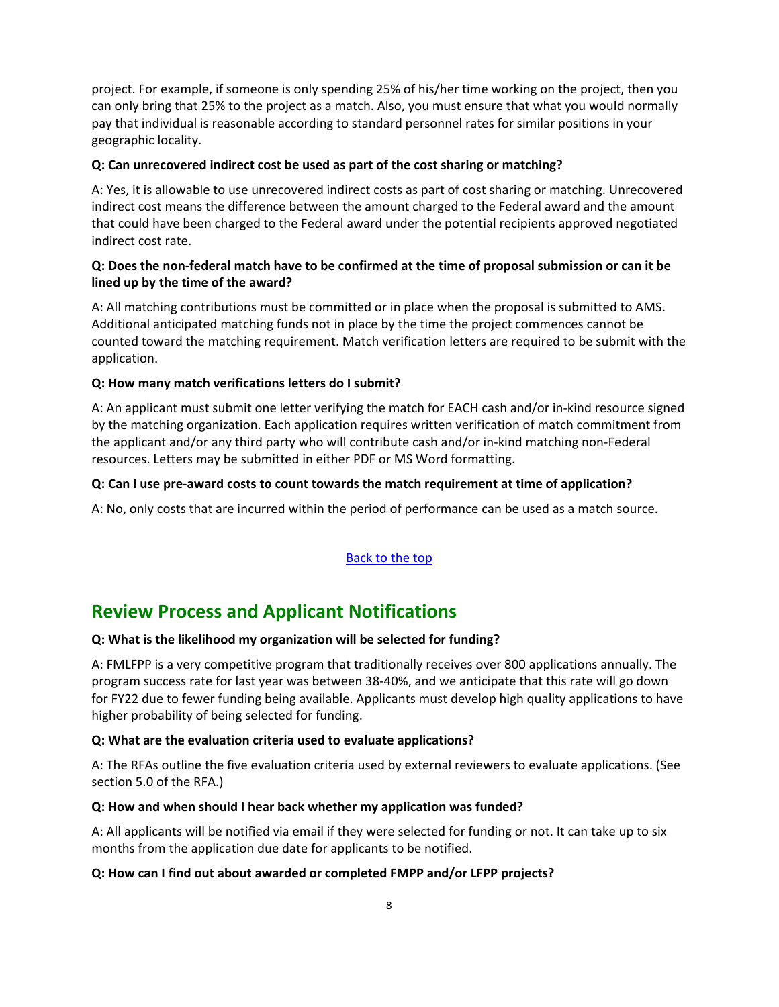project. For example, if someone is only spending 25% of his/her time working on the project, then you can only bring that 25% to the project as a match. Also, you must ensure that what you would normally pay that individual is reasonable according to standard personnel rates for similar positions in your geographic locality.

#### <span id="page-7-0"></span>**Q: Can unrecovered indirect cost be used as part of the cost sharing or matching?**

A: Yes, it is allowable to use unrecovered indirect costs as part of cost sharing or matching. Unrecovered indirect cost means the difference between the amount charged to the Federal award and the amount that could have been charged to the Federal award under the potential recipients approved negotiated indirect cost rate.

## <span id="page-7-1"></span>**Q: Does the non-federal match have to be confirmed at the time of proposal submission or can it be lined up by the time of the award?**

A: All matching contributions must be committed or in place when the proposal is submitted to AMS. Additional anticipated matching funds not in place by the time the project commences cannot be counted toward the matching requirement. Match verification letters are required to be submit with the application.

#### <span id="page-7-2"></span>**Q: How many match verifications letters do I submit?**

A: An applicant must submit one letter verifying the match for EACH cash and/or in-kind resource signed by the matching organization. Each application requires written verification of match commitment from the applicant and/or any third party who will contribute cash and/or in-kind matching non-Federal resources. Letters may be submitted in either PDF or MS Word formatting.

#### **Q: Can I use pre-award costs to count towards the match requirement at time of application?**

A: No, only costs that are incurred within the period of performance can be used as a match source.

## [Back to the top](#page-0-0)

## **Review Process and Applicant Notifications**

#### <span id="page-7-3"></span>**Q: What is the likelihood my organization will be selected for funding?**

A: FMLFPP is a very competitive program that traditionally receives over 800 applications annually. The program success rate for last year was between 38-40%, and we anticipate that this rate will go down for FY22 due to fewer funding being available. Applicants must develop high quality applications to have higher probability of being selected for funding.

#### <span id="page-7-4"></span>**Q: What are the evaluation criteria used to evaluate applications?**

A: The RFAs outline the five evaluation criteria used by external reviewers to evaluate applications. (See section 5.0 of the RFA.)

#### <span id="page-7-5"></span>**Q: How and when should I hear back whether my application was funded?**

A: All applicants will be notified via email if they were selected for funding or not. It can take up to six months from the application due date for applicants to be notified.

#### <span id="page-7-6"></span>**Q: How can I find out about awarded or completed FMPP and/or LFPP projects?**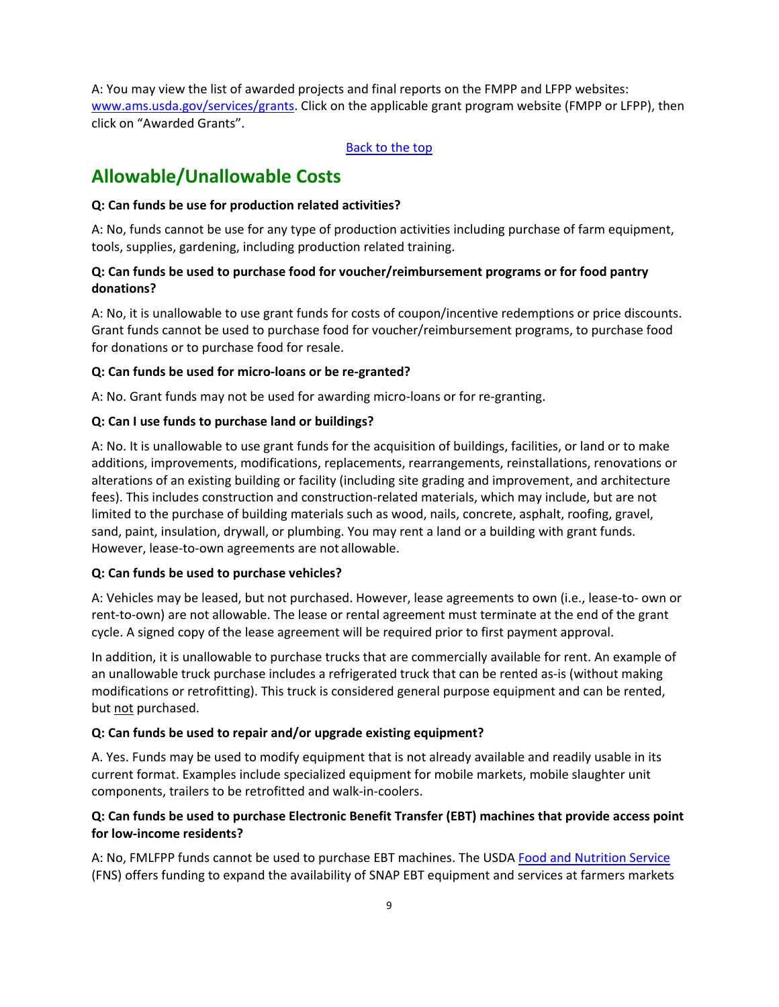A: You may view the list of awarded projects and final reports on the FMPP and LFPP websites: [www.ams.usda.gov/services/grants.](http://www.ams.usda.gov/services/grants) Click on the applicable grant program website (FMPP or LFPP), then click on "Awarded Grants".

[Back to the top](#page-0-0)

# **Allowable/Unallowable Costs**

## <span id="page-8-0"></span>**Q: Can funds be use for production related activities?**

A: No, funds cannot be use for any type of production activities including purchase of farm equipment, tools, supplies, gardening, including production related training.

## <span id="page-8-1"></span>**Q: Can funds be used to purchase food for voucher/reimbursement programs or for food pantry donations?**

A: No, it is unallowable to use grant funds for costs of coupon/incentive redemptions or price discounts. Grant funds cannot be used to purchase food for voucher/reimbursement programs, to purchase food for donations or to purchase food for resale.

## <span id="page-8-2"></span>**Q: Can funds be used for micro-loans or be re-granted?**

A: No. Grant funds may not be used for awarding micro-loans or for re-granting.

## <span id="page-8-3"></span>**Q: Can I use funds to purchase land or buildings?**

A: No. It is unallowable to use grant funds for the acquisition of buildings, facilities, or land or to make additions, improvements, modifications, replacements, rearrangements, reinstallations, renovations or alterations of an existing building or facility (including site grading and improvement, and architecture fees). This includes construction and construction-related materials, which may include, but are not limited to the purchase of building materials such as wood, nails, concrete, asphalt, roofing, gravel, sand, paint, insulation, drywall, or plumbing. You may rent a land or a building with grant funds. However, lease-to-own agreements are not allowable.

## <span id="page-8-4"></span>**Q: Can funds be used to purchase vehicles?**

A: Vehicles may be leased, but not purchased. However, lease agreements to own (i.e., lease-to- own or rent-to-own) are not allowable. The lease or rental agreement must terminate at the end of the grant cycle. A signed copy of the lease agreement will be required prior to first payment approval.

In addition, it is unallowable to purchase trucks that are commercially available for rent. An example of an unallowable truck purchase includes a refrigerated truck that can be rented as-is (without making modifications or retrofitting). This truck is considered general purpose equipment and can be rented, but not purchased.

## <span id="page-8-5"></span>**Q: Can funds be used to repair and/or upgrade existing equipment?**

A. Yes. Funds may be used to modify equipment that is not already available and readily usable in its current format. Examples include specialized equipment for mobile markets, mobile slaughter unit components, trailers to be retrofitted and walk-in-coolers.

## <span id="page-8-6"></span>**Q: Can funds be used to purchase Electronic Benefit Transfer (EBT) machines that provide access point for low-income residents?**

A: No, FMLFPP funds cannot be used to purchase EBT machines. The USD[A Food and Nutrition Service](https://www.fns.usda.gov/) (FNS) offers funding to expand the availability of SNAP EBT equipment and services at farmers markets